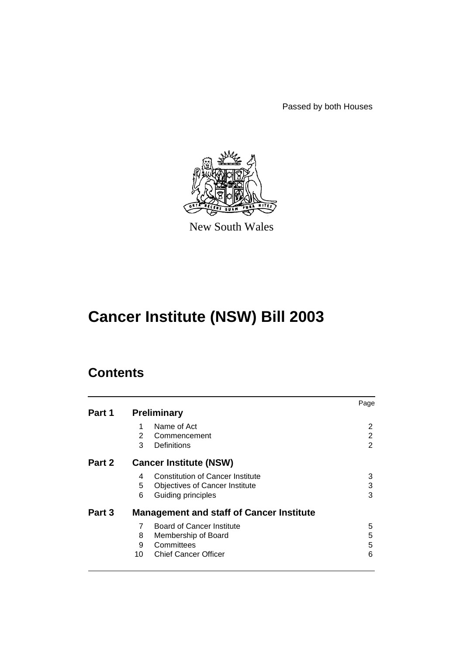Passed by both Houses



New South Wales

# **Cancer Institute (NSW) Bill 2003**

# **Contents**

|        |    |                                                 | Page |
|--------|----|-------------------------------------------------|------|
| Part 1 |    | <b>Preliminary</b>                              |      |
|        |    | Name of Act                                     | 2    |
|        | 2  | Commencement                                    | 2    |
|        | 3  | Definitions                                     | 2    |
| Part 2 |    | <b>Cancer Institute (NSW)</b>                   |      |
|        | 4  | <b>Constitution of Cancer Institute</b>         | 3    |
|        | 5  | <b>Objectives of Cancer Institute</b>           | 3    |
|        | 6  | Guiding principles                              | 3    |
| Part 3 |    | <b>Management and staff of Cancer Institute</b> |      |
|        | 7  | <b>Board of Cancer Institute</b>                | 5    |
|        | 8  | Membership of Board                             | 5    |
|        | 9  | Committees                                      | 5    |
|        | 10 | <b>Chief Cancer Officer</b>                     | 6    |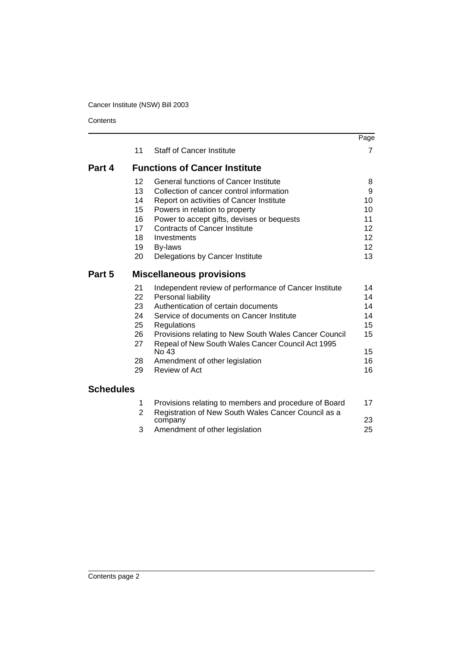**Contents** 

|                  |                |                                                                                                            | Page            |
|------------------|----------------|------------------------------------------------------------------------------------------------------------|-----------------|
|                  | 11             | <b>Staff of Cancer Institute</b>                                                                           | 7               |
| Part 4           |                | <b>Functions of Cancer Institute</b>                                                                       |                 |
|                  | 12             | General functions of Cancer Institute                                                                      | 8               |
|                  | 13             | Collection of cancer control information                                                                   | 9               |
|                  | 14             | Report on activities of Cancer Institute                                                                   | 10              |
|                  | 15             | Powers in relation to property                                                                             | 10              |
|                  | 16             | Power to accept gifts, devises or bequests                                                                 | 11              |
|                  | 17             | <b>Contracts of Cancer Institute</b>                                                                       | 12              |
|                  | 18             | Investments                                                                                                | 12              |
|                  | 19             | By-laws                                                                                                    | 12 <sup>2</sup> |
|                  | 20             | Delegations by Cancer Institute                                                                            | 13              |
| Part 5           |                | <b>Miscellaneous provisions</b>                                                                            |                 |
|                  | 21             | Independent review of performance of Cancer Institute                                                      | 14              |
|                  | 22             | Personal liability                                                                                         | 14              |
|                  | 23             | Authentication of certain documents                                                                        | 14              |
|                  | 24             | Service of documents on Cancer Institute                                                                   | 14              |
|                  | 25             | Regulations                                                                                                | 15              |
|                  | 26<br>27       | Provisions relating to New South Wales Cancer Council<br>Repeal of New South Wales Cancer Council Act 1995 | 15              |
|                  |                | No 43                                                                                                      | 15              |
|                  | 28             | Amendment of other legislation                                                                             | 16              |
|                  | 29             | Review of Act                                                                                              | 16              |
| <b>Schedules</b> |                |                                                                                                            |                 |
|                  | 1              | Provisions relating to members and procedure of Board                                                      | 17              |
|                  | $\overline{2}$ | Registration of New South Wales Cancer Council as a                                                        |                 |
|                  |                | company                                                                                                    | 23              |
|                  | 3              | Amendment of other legislation                                                                             | 25              |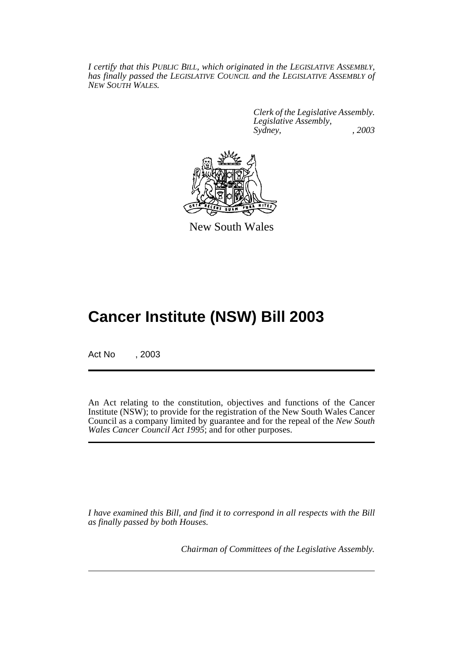*I certify that this PUBLIC BILL, which originated in the LEGISLATIVE ASSEMBLY, has finally passed the LEGISLATIVE COUNCIL and the LEGISLATIVE ASSEMBLY of NEW SOUTH WALES.*

> *Clerk of the Legislative Assembly. Legislative Assembly, Sydney, , 2003*



New South Wales

# **Cancer Institute (NSW) Bill 2003**

Act No , 2003

An Act relating to the constitution, objectives and functions of the Cancer Institute (NSW); to provide for the registration of the New South Wales Cancer Council as a company limited by guarantee and for the repeal of the *New South Wales Cancer Council Act 1995*; and for other purposes.

*I have examined this Bill, and find it to correspond in all respects with the Bill as finally passed by both Houses.*

*Chairman of Committees of the Legislative Assembly.*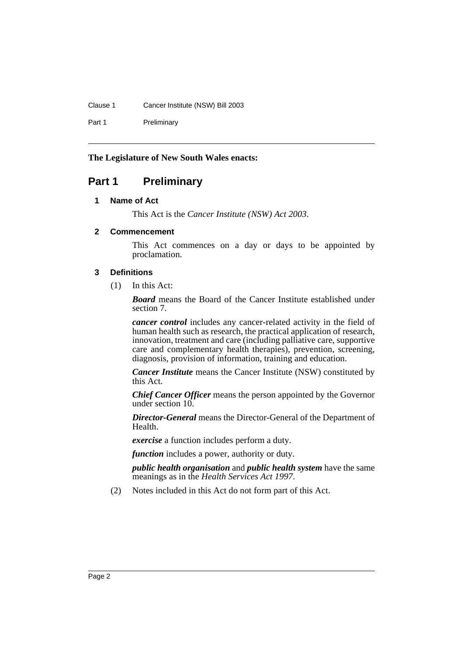#### Clause 1 Cancer Institute (NSW) Bill 2003

Part 1 Preliminary

#### **The Legislature of New South Wales enacts:**

# <span id="page-3-1"></span><span id="page-3-0"></span>**Part 1 Preliminary**

#### **1 Name of Act**

This Act is the *Cancer Institute (NSW) Act 2003*.

#### <span id="page-3-2"></span>**2 Commencement**

This Act commences on a day or days to be appointed by proclamation.

#### <span id="page-3-3"></span>**3 Definitions**

(1) In this Act:

*Board* means the Board of the Cancer Institute established under section 7.

*cancer control* includes any cancer-related activity in the field of human health such as research, the practical application of research, innovation, treatment and care (including palliative care, supportive care and complementary health therapies), prevention, screening, diagnosis, provision of information, training and education.

*Cancer Institute* means the Cancer Institute (NSW) constituted by this Act.

*Chief Cancer Officer* means the person appointed by the Governor under section 10.

*Director-General* means the Director-General of the Department of Health.

*exercise* a function includes perform a duty.

*function* includes a power, authority or duty.

*public health organisation* and *public health system* have the same meanings as in the *Health Services Act 1997*.

(2) Notes included in this Act do not form part of this Act.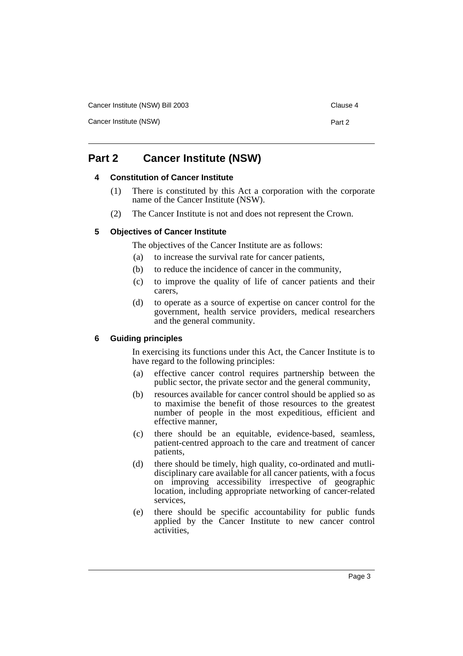Cancer Institute (NSW) Bill 2003 Clause 4

Cancer Institute (NSW) **Part 2** 

# <span id="page-4-1"></span><span id="page-4-0"></span>**Part 2 Cancer Institute (NSW)**

#### **4 Constitution of Cancer Institute**

- (1) There is constituted by this Act a corporation with the corporate name of the Cancer Institute (NSW).
- (2) The Cancer Institute is not and does not represent the Crown.

#### <span id="page-4-2"></span>**5 Objectives of Cancer Institute**

The objectives of the Cancer Institute are as follows:

- (a) to increase the survival rate for cancer patients,
- (b) to reduce the incidence of cancer in the community,
- (c) to improve the quality of life of cancer patients and their carers,
- (d) to operate as a source of expertise on cancer control for the government, health service providers, medical researchers and the general community.

#### <span id="page-4-3"></span>**6 Guiding principles**

In exercising its functions under this Act, the Cancer Institute is to have regard to the following principles:

- (a) effective cancer control requires partnership between the public sector, the private sector and the general community,
- (b) resources available for cancer control should be applied so as to maximise the benefit of those resources to the greatest number of people in the most expeditious, efficient and effective manner,
- (c) there should be an equitable, evidence-based, seamless, patient-centred approach to the care and treatment of cancer patients,
- (d) there should be timely, high quality, co-ordinated and mutlidisciplinary care available for all cancer patients, with a focus on improving accessibility irrespective of geographic location, including appropriate networking of cancer-related services,
- (e) there should be specific accountability for public funds applied by the Cancer Institute to new cancer control activities,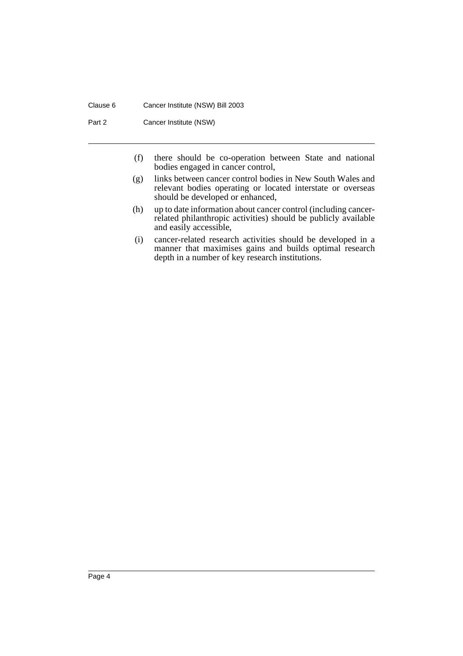#### Clause 6 Cancer Institute (NSW) Bill 2003

Part 2 Cancer Institute (NSW)

- (f) there should be co-operation between State and national bodies engaged in cancer control,
- (g) links between cancer control bodies in New South Wales and relevant bodies operating or located interstate or overseas should be developed or enhanced,
- (h) up to date information about cancer control (including cancerrelated philanthropic activities) should be publicly available and easily accessible,
- (i) cancer-related research activities should be developed in a manner that maximises gains and builds optimal research depth in a number of key research institutions.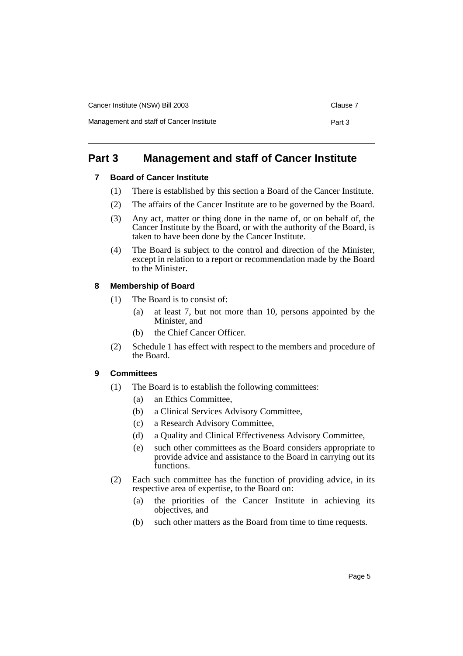| Cancer Institute (NSW) Bill 2003         |        |  |
|------------------------------------------|--------|--|
| Management and staff of Cancer Institute | Part 3 |  |

# <span id="page-6-1"></span><span id="page-6-0"></span>**Part 3 Management and staff of Cancer Institute**

### **7 Board of Cancer Institute**

- (1) There is established by this section a Board of the Cancer Institute.
- (2) The affairs of the Cancer Institute are to be governed by the Board.
- (3) Any act, matter or thing done in the name of, or on behalf of, the Cancer Institute by the Board, or with the authority of the Board, is taken to have been done by the Cancer Institute.
- (4) The Board is subject to the control and direction of the Minister, except in relation to a report or recommendation made by the Board to the Minister.

### <span id="page-6-2"></span>**8 Membership of Board**

- (1) The Board is to consist of:
	- (a) at least 7, but not more than 10, persons appointed by the Minister, and
	- (b) the Chief Cancer Officer.
- (2) Schedule 1 has effect with respect to the members and procedure of the Board.

### <span id="page-6-3"></span>**9 Committees**

- (1) The Board is to establish the following committees:
	- (a) an Ethics Committee,
	- (b) a Clinical Services Advisory Committee,
	- (c) a Research Advisory Committee,
	- (d) a Quality and Clinical Effectiveness Advisory Committee,
	- (e) such other committees as the Board considers appropriate to provide advice and assistance to the Board in carrying out its functions.
- (2) Each such committee has the function of providing advice, in its respective area of expertise, to the Board on:
	- (a) the priorities of the Cancer Institute in achieving its objectives, and
	- (b) such other matters as the Board from time to time requests.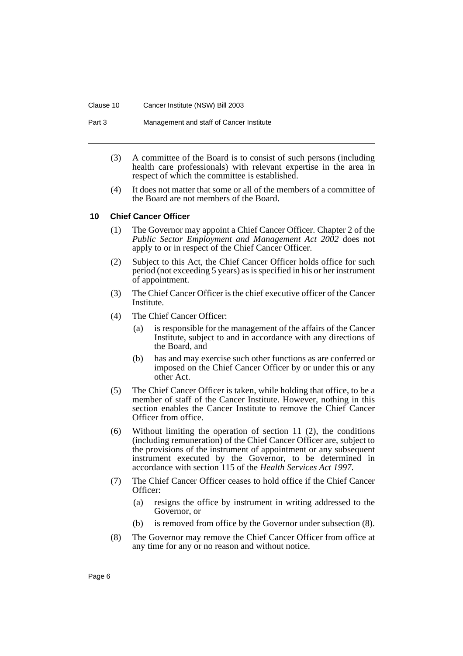#### Clause 10 Cancer Institute (NSW) Bill 2003

Part 3 Management and staff of Cancer Institute

- (3) A committee of the Board is to consist of such persons (including health care professionals) with relevant expertise in the area in respect of which the committee is established.
- (4) It does not matter that some or all of the members of a committee of the Board are not members of the Board.

#### <span id="page-7-0"></span>**10 Chief Cancer Officer**

- (1) The Governor may appoint a Chief Cancer Officer. Chapter 2 of the *Public Sector Employment and Management Act 2002* does not apply to or in respect of the Chief Cancer Officer.
- (2) Subject to this Act, the Chief Cancer Officer holds office for such period (not exceeding 5 years) as is specified in his or her instrument of appointment.
- (3) The Chief Cancer Officer is the chief executive officer of the Cancer Institute.
- (4) The Chief Cancer Officer:
	- (a) is responsible for the management of the affairs of the Cancer Institute, subject to and in accordance with any directions of the Board, and
	- (b) has and may exercise such other functions as are conferred or imposed on the Chief Cancer Officer by or under this or any other Act.
- (5) The Chief Cancer Officer is taken, while holding that office, to be a member of staff of the Cancer Institute. However, nothing in this section enables the Cancer Institute to remove the Chief Cancer Officer from office.
- (6) Without limiting the operation of section 11 (2), the conditions (including remuneration) of the Chief Cancer Officer are, subject to the provisions of the instrument of appointment or any subsequent instrument executed by the Governor, to be determined in accordance with section 115 of the *Health Services Act 1997*.
- (7) The Chief Cancer Officer ceases to hold office if the Chief Cancer Officer:
	- (a) resigns the office by instrument in writing addressed to the Governor, or
	- (b) is removed from office by the Governor under subsection (8).
- (8) The Governor may remove the Chief Cancer Officer from office at any time for any or no reason and without notice.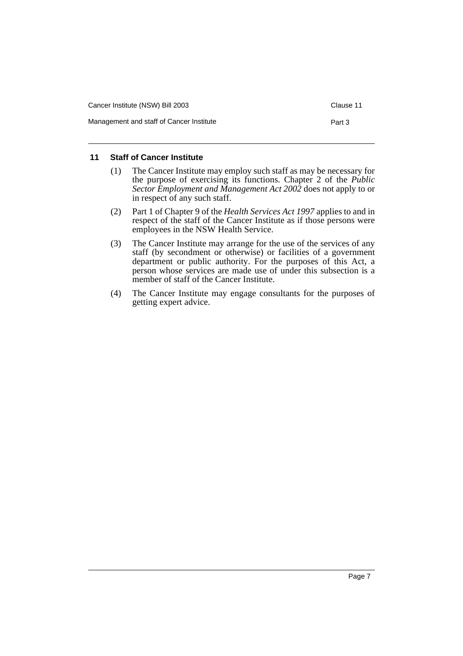| Cancer Institute (NSW) Bill 2003         |        |  |
|------------------------------------------|--------|--|
| Management and staff of Cancer Institute | Part 3 |  |

#### <span id="page-8-0"></span>**11 Staff of Cancer Institute**

- (1) The Cancer Institute may employ such staff as may be necessary for the purpose of exercising its functions. Chapter 2 of the *Public Sector Employment and Management Act 2002* does not apply to or in respect of any such staff.
- (2) Part 1 of Chapter 9 of the *Health Services Act 1997* applies to and in respect of the staff of the Cancer Institute as if those persons were employees in the NSW Health Service.
- (3) The Cancer Institute may arrange for the use of the services of any staff (by secondment or otherwise) or facilities of a government department or public authority. For the purposes of this Act, a person whose services are made use of under this subsection is a member of staff of the Cancer Institute.
- (4) The Cancer Institute may engage consultants for the purposes of getting expert advice.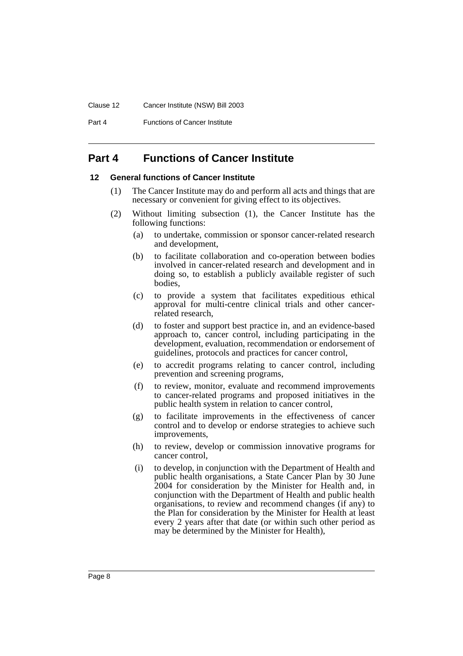#### Clause 12 Cancer Institute (NSW) Bill 2003

Part 4 **Functions of Cancer Institute** 

# <span id="page-9-0"></span>**Part 4 Functions of Cancer Institute**

#### <span id="page-9-1"></span>**12 General functions of Cancer Institute**

- (1) The Cancer Institute may do and perform all acts and things that are necessary or convenient for giving effect to its objectives.
- (2) Without limiting subsection (1), the Cancer Institute has the following functions:
	- (a) to undertake, commission or sponsor cancer-related research and development,
	- (b) to facilitate collaboration and co-operation between bodies involved in cancer-related research and development and in doing so, to establish a publicly available register of such bodies,
	- (c) to provide a system that facilitates expeditious ethical approval for multi-centre clinical trials and other cancerrelated research,
	- (d) to foster and support best practice in, and an evidence-based approach to, cancer control, including participating in the development, evaluation, recommendation or endorsement of guidelines, protocols and practices for cancer control,
	- (e) to accredit programs relating to cancer control, including prevention and screening programs,
	- (f) to review, monitor, evaluate and recommend improvements to cancer-related programs and proposed initiatives in the public health system in relation to cancer control,
	- (g) to facilitate improvements in the effectiveness of cancer control and to develop or endorse strategies to achieve such improvements,
	- (h) to review, develop or commission innovative programs for cancer control,
	- (i) to develop, in conjunction with the Department of Health and public health organisations, a State Cancer Plan by 30 June 2004 for consideration by the Minister for Health and, in conjunction with the Department of Health and public health organisations, to review and recommend changes (if any) to the Plan for consideration by the Minister for Health at least every 2 years after that date (or within such other period as may be determined by the Minister for Health),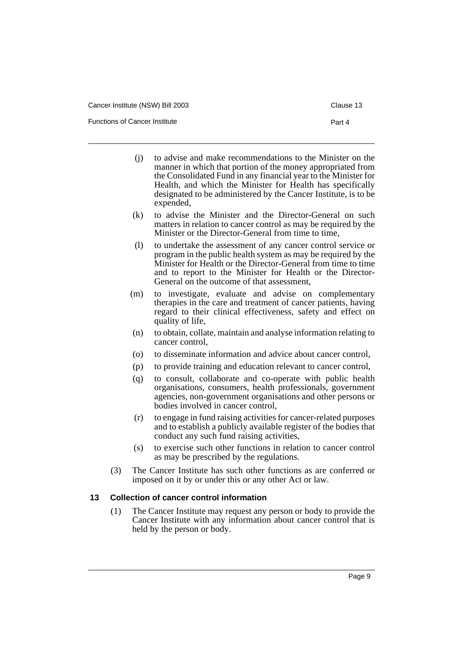Functions of Cancer Institute **Part 4** Part 4

- 
- (j) to advise and make recommendations to the Minister on the manner in which that portion of the money appropriated from the Consolidated Fund in any financial year to the Minister for Health, and which the Minister for Health has specifically designated to be administered by the Cancer Institute, is to be expended,
- (k) to advise the Minister and the Director-General on such matters in relation to cancer control as may be required by the Minister or the Director-General from time to time,
- (l) to undertake the assessment of any cancer control service or program in the public health system as may be required by the Minister for Health or the Director-General from time to time and to report to the Minister for Health or the Director-General on the outcome of that assessment,
- (m) to investigate, evaluate and advise on complementary therapies in the care and treatment of cancer patients, having regard to their clinical effectiveness, safety and effect on quality of life,
- (n) to obtain, collate, maintain and analyse information relating to cancer control,
- (o) to disseminate information and advice about cancer control,
- (p) to provide training and education relevant to cancer control,
- (q) to consult, collaborate and co-operate with public health organisations, consumers, health professionals, government agencies, non-government organisations and other persons or bodies involved in cancer control,
- (r) to engage in fund raising activities for cancer-related purposes and to establish a publicly available register of the bodies that conduct any such fund raising activities,
- (s) to exercise such other functions in relation to cancer control as may be prescribed by the regulations.
- (3) The Cancer Institute has such other functions as are conferred or imposed on it by or under this or any other Act or law.

#### <span id="page-10-0"></span>**13 Collection of cancer control information**

(1) The Cancer Institute may request any person or body to provide the Cancer Institute with any information about cancer control that is held by the person or body.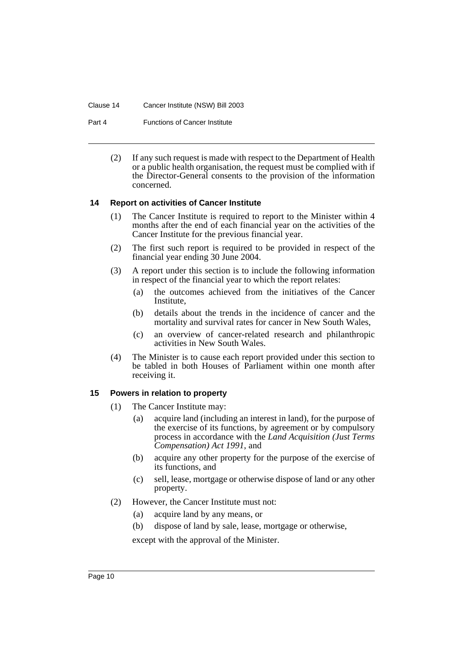#### Clause 14 Cancer Institute (NSW) Bill 2003

Part 4 **Functions of Cancer Institute** 

(2) If any such request is made with respect to the Department of Health or a public health organisation, the request must be complied with if the Director-General consents to the provision of the information concerned.

#### <span id="page-11-0"></span>**14 Report on activities of Cancer Institute**

- (1) The Cancer Institute is required to report to the Minister within 4 months after the end of each financial year on the activities of the Cancer Institute for the previous financial year.
- (2) The first such report is required to be provided in respect of the financial year ending 30 June 2004.
- (3) A report under this section is to include the following information in respect of the financial year to which the report relates:
	- (a) the outcomes achieved from the initiatives of the Cancer **Institute**
	- (b) details about the trends in the incidence of cancer and the mortality and survival rates for cancer in New South Wales,
	- (c) an overview of cancer-related research and philanthropic activities in New South Wales.
- (4) The Minister is to cause each report provided under this section to be tabled in both Houses of Parliament within one month after receiving it.

#### <span id="page-11-1"></span>**15 Powers in relation to property**

- (1) The Cancer Institute may:
	- (a) acquire land (including an interest in land), for the purpose of the exercise of its functions, by agreement or by compulsory process in accordance with the *Land Acquisition (Just Terms Compensation) Act 1991*, and
	- (b) acquire any other property for the purpose of the exercise of its functions, and
	- (c) sell, lease, mortgage or otherwise dispose of land or any other property.
- (2) However, the Cancer Institute must not:
	- (a) acquire land by any means, or
	- (b) dispose of land by sale, lease, mortgage or otherwise,

except with the approval of the Minister.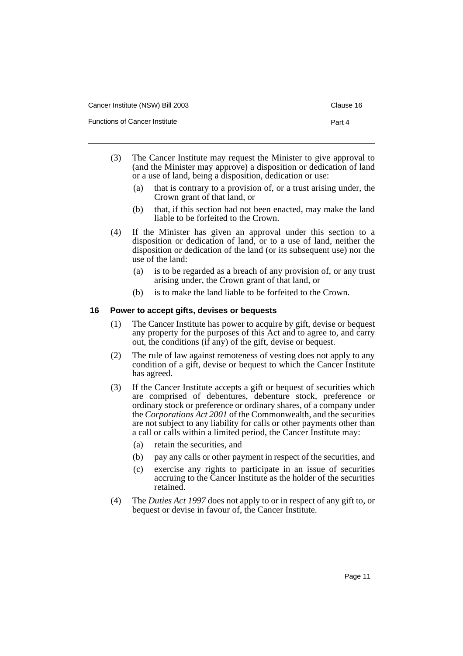| Cancer Institute (NSW) Bill 2003     | Clause |
|--------------------------------------|--------|
| <b>Functions of Cancer Institute</b> | Part 4 |

Clause 16

- (3) The Cancer Institute may request the Minister to give approval to (and the Minister may approve) a disposition or dedication of land or a use of land, being a disposition, dedication or use:
	- (a) that is contrary to a provision of, or a trust arising under, the Crown grant of that land, or
	- (b) that, if this section had not been enacted, may make the land liable to be forfeited to the Crown.
- (4) If the Minister has given an approval under this section to a disposition or dedication of land, or to a use of land, neither the disposition or dedication of the land (or its subsequent use) nor the use of the land:
	- (a) is to be regarded as a breach of any provision of, or any trust arising under, the Crown grant of that land, or
	- (b) is to make the land liable to be forfeited to the Crown.

#### <span id="page-12-0"></span>**16 Power to accept gifts, devises or bequests**

- (1) The Cancer Institute has power to acquire by gift, devise or bequest any property for the purposes of this Act and to agree to, and carry out, the conditions (if any) of the gift, devise or bequest.
- (2) The rule of law against remoteness of vesting does not apply to any condition of a gift, devise or bequest to which the Cancer Institute has agreed.
- (3) If the Cancer Institute accepts a gift or bequest of securities which are comprised of debentures, debenture stock, preference or ordinary stock or preference or ordinary shares, of a company under the *Corporations Act 2001* of the Commonwealth, and the securities are not subject to any liability for calls or other payments other than a call or calls within a limited period, the Cancer Institute may:
	- (a) retain the securities, and
	- (b) pay any calls or other payment in respect of the securities, and
	- (c) exercise any rights to participate in an issue of securities accruing to the Cancer Institute as the holder of the securities retained.
- (4) The *Duties Act 1997* does not apply to or in respect of any gift to, or bequest or devise in favour of, the Cancer Institute.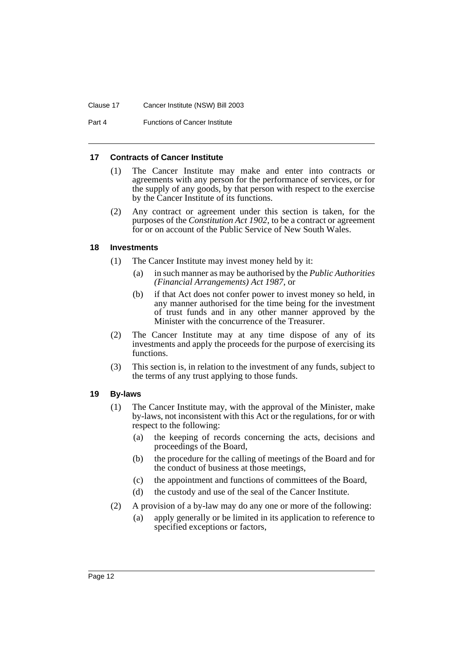Part 4 **Functions of Cancer Institute** 

#### <span id="page-13-0"></span>**17 Contracts of Cancer Institute**

- (1) The Cancer Institute may make and enter into contracts or agreements with any person for the performance of services, or for the supply of any goods, by that person with respect to the exercise by the Cancer Institute of its functions.
- (2) Any contract or agreement under this section is taken, for the purposes of the *Constitution Act 1902*, to be a contract or agreement for or on account of the Public Service of New South Wales.

#### <span id="page-13-1"></span>**18 Investments**

- (1) The Cancer Institute may invest money held by it:
	- (a) in such manner as may be authorised by the *Public Authorities (Financial Arrangements) Act 1987*, or
	- (b) if that Act does not confer power to invest money so held, in any manner authorised for the time being for the investment of trust funds and in any other manner approved by the Minister with the concurrence of the Treasurer.
- (2) The Cancer Institute may at any time dispose of any of its investments and apply the proceeds for the purpose of exercising its functions.
- (3) This section is, in relation to the investment of any funds, subject to the terms of any trust applying to those funds.

#### <span id="page-13-2"></span>**19 By-laws**

- (1) The Cancer Institute may, with the approval of the Minister, make by-laws, not inconsistent with this Act or the regulations, for or with respect to the following:
	- (a) the keeping of records concerning the acts, decisions and proceedings of the Board,
	- (b) the procedure for the calling of meetings of the Board and for the conduct of business at those meetings,
	- (c) the appointment and functions of committees of the Board,
	- (d) the custody and use of the seal of the Cancer Institute.
- (2) A provision of a by-law may do any one or more of the following:
	- (a) apply generally or be limited in its application to reference to specified exceptions or factors,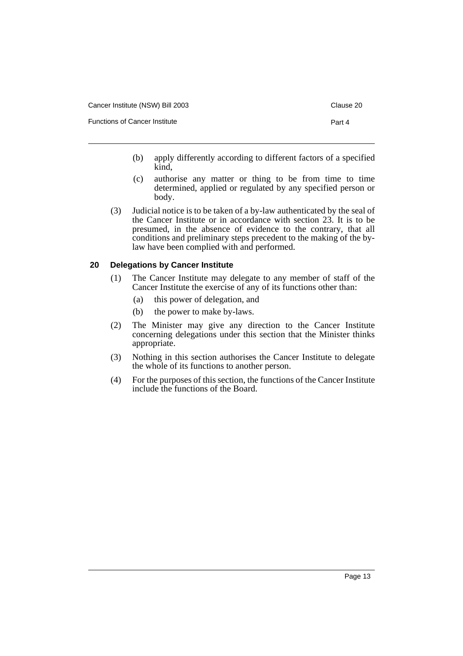- 
- (b) apply differently according to different factors of a specified kind,
- (c) authorise any matter or thing to be from time to time determined, applied or regulated by any specified person or body.
- (3) Judicial notice is to be taken of a by-law authenticated by the seal of the Cancer Institute or in accordance with section 23. It is to be presumed, in the absence of evidence to the contrary, that all conditions and preliminary steps precedent to the making of the bylaw have been complied with and performed.

#### <span id="page-14-0"></span>**20 Delegations by Cancer Institute**

- (1) The Cancer Institute may delegate to any member of staff of the Cancer Institute the exercise of any of its functions other than:
	- (a) this power of delegation, and
	- (b) the power to make by-laws.
- (2) The Minister may give any direction to the Cancer Institute concerning delegations under this section that the Minister thinks appropriate.
- (3) Nothing in this section authorises the Cancer Institute to delegate the whole of its functions to another person.
- (4) For the purposes of this section, the functions of the Cancer Institute include the functions of the Board.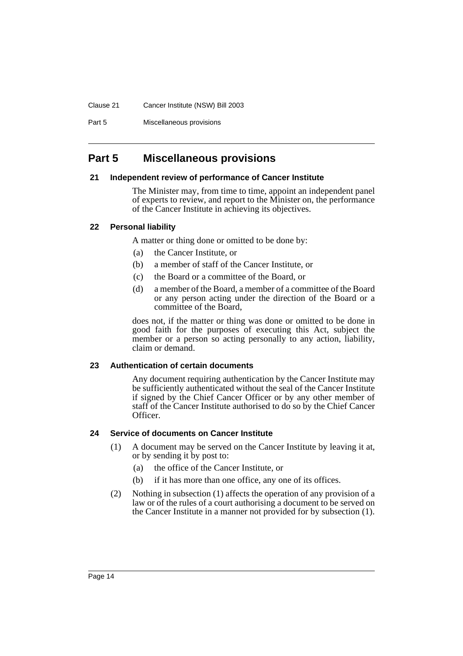#### Clause 21 Cancer Institute (NSW) Bill 2003

Part 5 Miscellaneous provisions

# <span id="page-15-0"></span>**Part 5 Miscellaneous provisions**

#### <span id="page-15-1"></span>**21 Independent review of performance of Cancer Institute**

The Minister may, from time to time, appoint an independent panel of experts to review, and report to the Minister on, the performance of the Cancer Institute in achieving its objectives.

#### <span id="page-15-2"></span>**22 Personal liability**

A matter or thing done or omitted to be done by:

- (a) the Cancer Institute, or
- (b) a member of staff of the Cancer Institute, or
- (c) the Board or a committee of the Board, or
- (d) a member of the Board, a member of a committee of the Board or any person acting under the direction of the Board or a committee of the Board,

does not, if the matter or thing was done or omitted to be done in good faith for the purposes of executing this Act, subject the member or a person so acting personally to any action, liability, claim or demand.

#### <span id="page-15-3"></span>**23 Authentication of certain documents**

Any document requiring authentication by the Cancer Institute may be sufficiently authenticated without the seal of the Cancer Institute if signed by the Chief Cancer Officer or by any other member of staff of the Cancer Institute authorised to do so by the Chief Cancer Officer.

#### <span id="page-15-4"></span>**24 Service of documents on Cancer Institute**

- (1) A document may be served on the Cancer Institute by leaving it at, or by sending it by post to:
	- (a) the office of the Cancer Institute, or
	- (b) if it has more than one office, any one of its offices.
- (2) Nothing in subsection (1) affects the operation of any provision of a law or of the rules of a court authorising a document to be served on the Cancer Institute in a manner not provided for by subsection (1).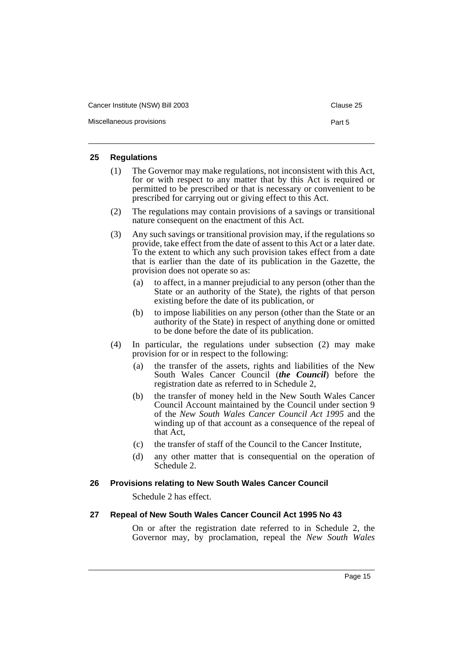| Cancer Institute (NSW) Bill 2003 | Clause 25 |
|----------------------------------|-----------|
| Miscellaneous provisions         | Part 5    |

#### <span id="page-16-0"></span>**25 Regulations**

- (1) The Governor may make regulations, not inconsistent with this Act, for or with respect to any matter that by this Act is required or permitted to be prescribed or that is necessary or convenient to be prescribed for carrying out or giving effect to this Act.
- (2) The regulations may contain provisions of a savings or transitional nature consequent on the enactment of this Act.
- (3) Any such savings or transitional provision may, if the regulations so provide, take effect from the date of assent to this Act or a later date. To the extent to which any such provision takes effect from a date that is earlier than the date of its publication in the Gazette, the provision does not operate so as:
	- (a) to affect, in a manner prejudicial to any person (other than the State or an authority of the State), the rights of that person existing before the date of its publication, or
	- (b) to impose liabilities on any person (other than the State or an authority of the State) in respect of anything done or omitted to be done before the date of its publication.
- (4) In particular, the regulations under subsection (2) may make provision for or in respect to the following:
	- (a) the transfer of the assets, rights and liabilities of the New South Wales Cancer Council (*the Council*) before the registration date as referred to in Schedule 2,
	- (b) the transfer of money held in the New South Wales Cancer Council Account maintained by the Council under section 9 of the *New South Wales Cancer Council Act 1995* and the winding up of that account as a consequence of the repeal of that Act,
	- (c) the transfer of staff of the Council to the Cancer Institute,
	- (d) any other matter that is consequential on the operation of Schedule 2.

#### <span id="page-16-1"></span>**26 Provisions relating to New South Wales Cancer Council**

Schedule 2 has effect.

#### <span id="page-16-2"></span>**27 Repeal of New South Wales Cancer Council Act 1995 No 43**

On or after the registration date referred to in Schedule 2, the Governor may, by proclamation, repeal the *New South Wales*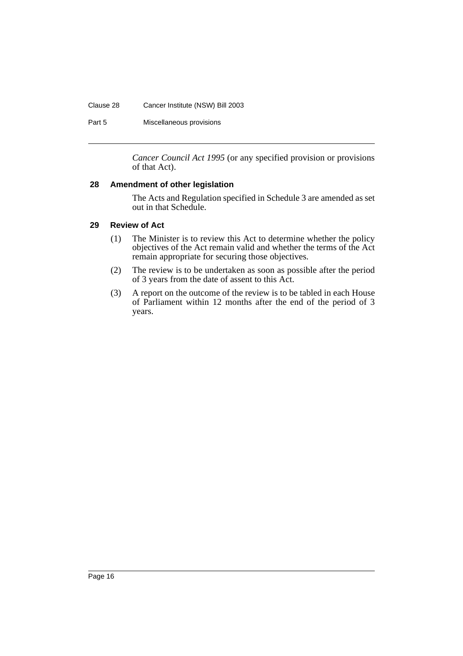#### Clause 28 Cancer Institute (NSW) Bill 2003

Part 5 Miscellaneous provisions

*Cancer Council Act 1995* (or any specified provision or provisions of that Act).

#### <span id="page-17-0"></span>**28 Amendment of other legislation**

The Acts and Regulation specified in Schedule 3 are amended as set out in that Schedule.

#### <span id="page-17-1"></span>**29 Review of Act**

- (1) The Minister is to review this Act to determine whether the policy objectives of the Act remain valid and whether the terms of the Act remain appropriate for securing those objectives.
- (2) The review is to be undertaken as soon as possible after the period of 3 years from the date of assent to this Act.
- (3) A report on the outcome of the review is to be tabled in each House of Parliament within 12 months after the end of the period of 3 years.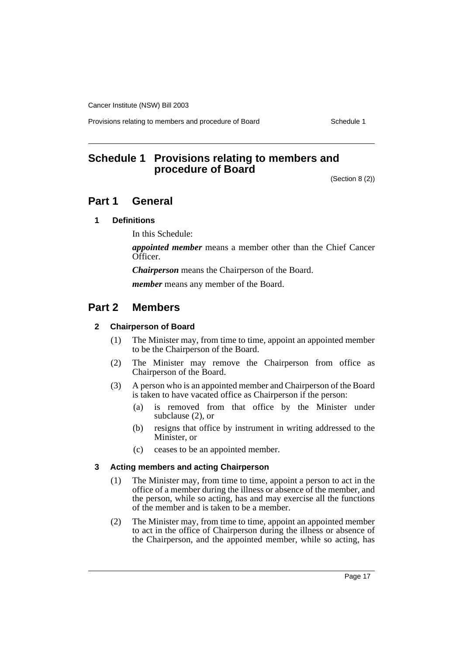Provisions relating to members and procedure of Board Schedule 1

# <span id="page-18-0"></span>**Schedule 1 Provisions relating to members and procedure of Board**

(Section 8 (2))

# **Part 1 General**

#### **1 Definitions**

In this Schedule:

*appointed member* means a member other than the Chief Cancer Officer.

*Chairperson* means the Chairperson of the Board.

*member* means any member of the Board.

# **Part 2 Members**

#### **2 Chairperson of Board**

- (1) The Minister may, from time to time, appoint an appointed member to be the Chairperson of the Board.
- (2) The Minister may remove the Chairperson from office as Chairperson of the Board.
- (3) A person who is an appointed member and Chairperson of the Board is taken to have vacated office as Chairperson if the person:
	- (a) is removed from that office by the Minister under subclause (2), or
	- (b) resigns that office by instrument in writing addressed to the Minister, or
	- (c) ceases to be an appointed member.

#### **3 Acting members and acting Chairperson**

- (1) The Minister may, from time to time, appoint a person to act in the office of a member during the illness or absence of the member, and the person, while so acting, has and may exercise all the functions of the member and is taken to be a member.
- (2) The Minister may, from time to time, appoint an appointed member to act in the office of Chairperson during the illness or absence of the Chairperson, and the appointed member, while so acting, has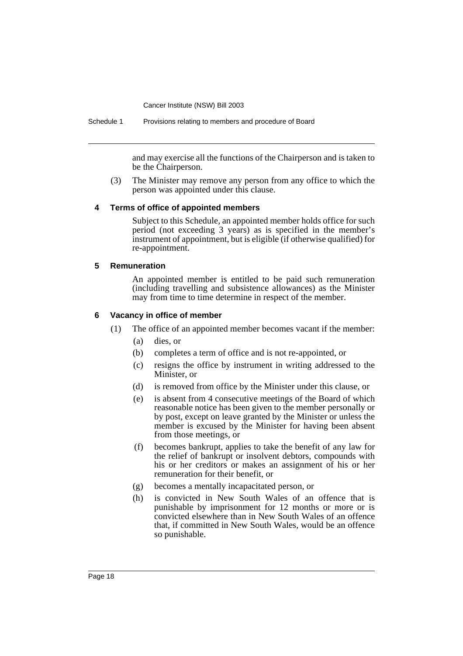and may exercise all the functions of the Chairperson and is taken to be the Chairperson.

(3) The Minister may remove any person from any office to which the person was appointed under this clause.

#### **4 Terms of office of appointed members**

Subject to this Schedule, an appointed member holds office for such period (not exceeding 3 years) as is specified in the member's instrument of appointment, but is eligible (if otherwise qualified) for re-appointment.

#### **5 Remuneration**

An appointed member is entitled to be paid such remuneration (including travelling and subsistence allowances) as the Minister may from time to time determine in respect of the member.

#### **6 Vacancy in office of member**

- (1) The office of an appointed member becomes vacant if the member:
	- (a) dies, or
	- (b) completes a term of office and is not re-appointed, or
	- (c) resigns the office by instrument in writing addressed to the Minister, or
	- (d) is removed from office by the Minister under this clause, or
	- (e) is absent from 4 consecutive meetings of the Board of which reasonable notice has been given to the member personally or by post, except on leave granted by the Minister or unless the member is excused by the Minister for having been absent from those meetings, or
	- (f) becomes bankrupt, applies to take the benefit of any law for the relief of bankrupt or insolvent debtors, compounds with his or her creditors or makes an assignment of his or her remuneration for their benefit, or
	- (g) becomes a mentally incapacitated person, or
	- (h) is convicted in New South Wales of an offence that is punishable by imprisonment for 12 months or more or is convicted elsewhere than in New South Wales of an offence that, if committed in New South Wales, would be an offence so punishable.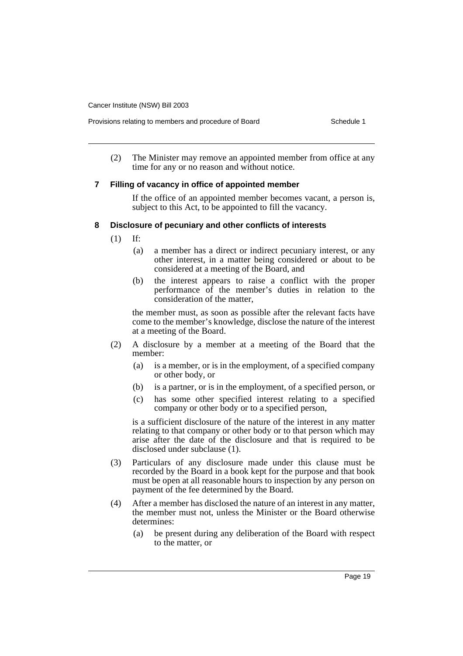Provisions relating to members and procedure of Board Schedule 1

(2) The Minister may remove an appointed member from office at any time for any or no reason and without notice.

#### **7 Filling of vacancy in office of appointed member**

If the office of an appointed member becomes vacant, a person is, subject to this Act, to be appointed to fill the vacancy.

#### **8 Disclosure of pecuniary and other conflicts of interests**

- (1) If:
	- (a) a member has a direct or indirect pecuniary interest, or any other interest, in a matter being considered or about to be considered at a meeting of the Board, and
	- (b) the interest appears to raise a conflict with the proper performance of the member's duties in relation to the consideration of the matter,

the member must, as soon as possible after the relevant facts have come to the member's knowledge, disclose the nature of the interest at a meeting of the Board.

- (2) A disclosure by a member at a meeting of the Board that the member:
	- (a) is a member, or is in the employment, of a specified company or other body, or
	- (b) is a partner, or is in the employment, of a specified person, or
	- (c) has some other specified interest relating to a specified company or other body or to a specified person,

is a sufficient disclosure of the nature of the interest in any matter relating to that company or other body or to that person which may arise after the date of the disclosure and that is required to be disclosed under subclause (1).

- (3) Particulars of any disclosure made under this clause must be recorded by the Board in a book kept for the purpose and that book must be open at all reasonable hours to inspection by any person on payment of the fee determined by the Board.
- (4) After a member has disclosed the nature of an interest in any matter, the member must not, unless the Minister or the Board otherwise determines:
	- (a) be present during any deliberation of the Board with respect to the matter, or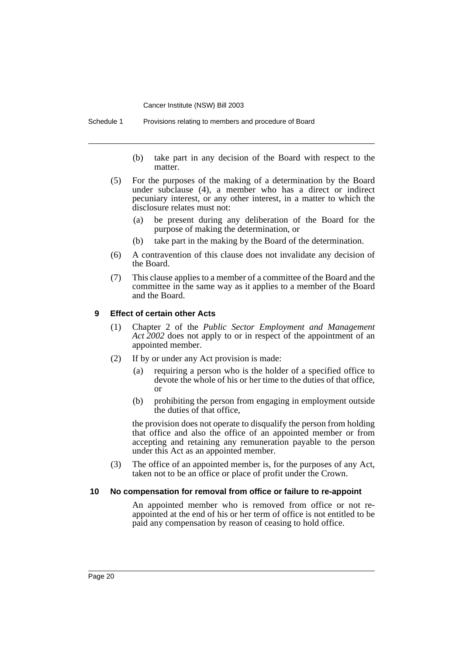Schedule 1 Provisions relating to members and procedure of Board

- (b) take part in any decision of the Board with respect to the matter.
- (5) For the purposes of the making of a determination by the Board under subclause (4), a member who has a direct or indirect pecuniary interest, or any other interest, in a matter to which the disclosure relates must not:
	- (a) be present during any deliberation of the Board for the purpose of making the determination, or
	- (b) take part in the making by the Board of the determination.
- (6) A contravention of this clause does not invalidate any decision of the Board.
- (7) This clause applies to a member of a committee of the Board and the committee in the same way as it applies to a member of the Board and the Board.

#### **9 Effect of certain other Acts**

- (1) Chapter 2 of the *Public Sector Employment and Management Act 2002* does not apply to or in respect of the appointment of an appointed member.
- (2) If by or under any Act provision is made:
	- (a) requiring a person who is the holder of a specified office to devote the whole of his or her time to the duties of that office, or
	- (b) prohibiting the person from engaging in employment outside the duties of that office,

the provision does not operate to disqualify the person from holding that office and also the office of an appointed member or from accepting and retaining any remuneration payable to the person under this Act as an appointed member.

(3) The office of an appointed member is, for the purposes of any Act, taken not to be an office or place of profit under the Crown.

#### **10 No compensation for removal from office or failure to re-appoint**

An appointed member who is removed from office or not reappointed at the end of his or her term of office is not entitled to be paid any compensation by reason of ceasing to hold office.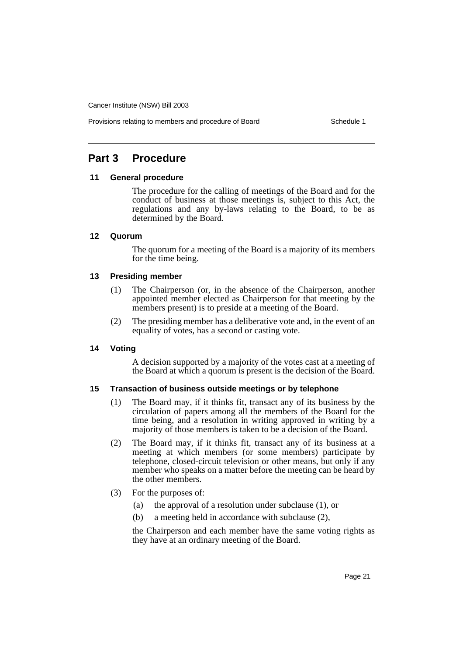# **Part 3 Procedure**

#### **11 General procedure**

The procedure for the calling of meetings of the Board and for the conduct of business at those meetings is, subject to this Act, the regulations and any by-laws relating to the Board, to be as determined by the Board.

#### **12 Quorum**

The quorum for a meeting of the Board is a majority of its members for the time being.

#### **13 Presiding member**

- (1) The Chairperson (or, in the absence of the Chairperson, another appointed member elected as Chairperson for that meeting by the members present) is to preside at a meeting of the Board.
- (2) The presiding member has a deliberative vote and, in the event of an equality of votes, has a second or casting vote.

#### **14 Voting**

A decision supported by a majority of the votes cast at a meeting of the Board at which a quorum is present is the decision of the Board.

#### **15 Transaction of business outside meetings or by telephone**

- (1) The Board may, if it thinks fit, transact any of its business by the circulation of papers among all the members of the Board for the time being, and a resolution in writing approved in writing by a majority of those members is taken to be a decision of the Board.
- (2) The Board may, if it thinks fit, transact any of its business at a meeting at which members (or some members) participate by telephone, closed-circuit television or other means, but only if any member who speaks on a matter before the meeting can be heard by the other members.
- (3) For the purposes of:
	- (a) the approval of a resolution under subclause (1), or
	- (b) a meeting held in accordance with subclause (2),

the Chairperson and each member have the same voting rights as they have at an ordinary meeting of the Board.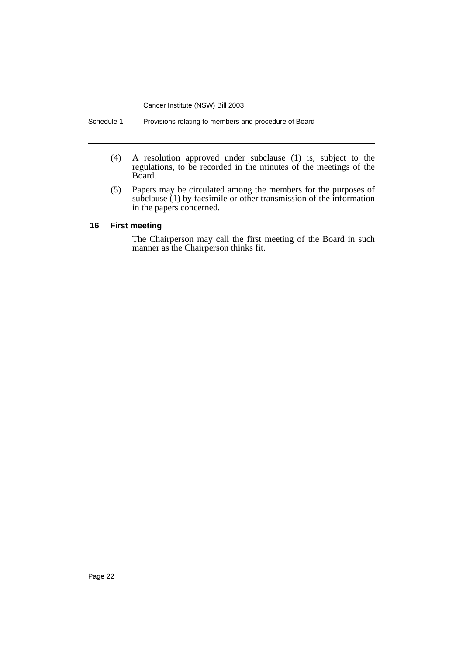- (4) A resolution approved under subclause (1) is, subject to the regulations, to be recorded in the minutes of the meetings of the Board.
- (5) Papers may be circulated among the members for the purposes of subclause (1) by facsimile or other transmission of the information in the papers concerned.

#### **16 First meeting**

The Chairperson may call the first meeting of the Board in such manner as the Chairperson thinks fit.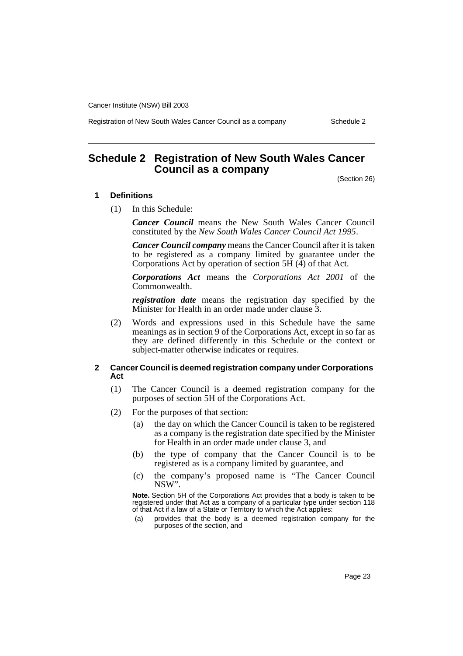Registration of New South Wales Cancer Council as a company Schedule 2

# <span id="page-24-0"></span>**Schedule 2 Registration of New South Wales Cancer Council as a company**

(Section 26)

#### **1 Definitions**

(1) In this Schedule:

*Cancer Council* means the New South Wales Cancer Council constituted by the *New South Wales Cancer Council Act 1995*.

*Cancer Council company* means the Cancer Council after it is taken to be registered as a company limited by guarantee under the Corporations Act by operation of section 5H (4) of that Act.

*Corporations Act* means the *Corporations Act 2001* of the Commonwealth.

*registration date* means the registration day specified by the Minister for Health in an order made under clause 3.

(2) Words and expressions used in this Schedule have the same meanings as in section 9 of the Corporations Act, except in so far as they are defined differently in this Schedule or the context or subject-matter otherwise indicates or requires.

#### **2 Cancer Council is deemed registration company under Corporations Act**

- (1) The Cancer Council is a deemed registration company for the purposes of section 5H of the Corporations Act.
- (2) For the purposes of that section:
	- (a) the day on which the Cancer Council is taken to be registered as a company is the registration date specified by the Minister for Health in an order made under clause 3, and
	- (b) the type of company that the Cancer Council is to be registered as is a company limited by guarantee, and
	- (c) the company's proposed name is "The Cancer Council NSW".

**Note.** Section 5H of the Corporations Act provides that a body is taken to be registered under that Act as a company of a particular type under section 118 of that Act if a law of a State or Territory to which the Act applies:

(a) provides that the body is a deemed registration company for the purposes of the section, and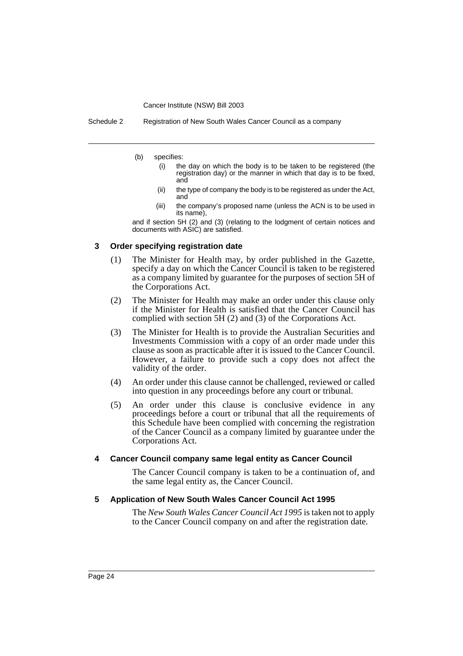Schedule 2 Registration of New South Wales Cancer Council as a company

- (b) specifies:
	- (i) the day on which the body is to be taken to be registered (the registration day) or the manner in which that day is to be fixed, and
	- (ii) the type of company the body is to be registered as under the Act, and
	- (iii) the company's proposed name (unless the ACN is to be used in its name),

and if section 5H (2) and (3) (relating to the lodgment of certain notices and documents with ASIC) are satisfied.

#### **3 Order specifying registration date**

- (1) The Minister for Health may, by order published in the Gazette, specify a day on which the Cancer Council is taken to be registered as a company limited by guarantee for the purposes of section 5H of the Corporations Act.
- (2) The Minister for Health may make an order under this clause only if the Minister for Health is satisfied that the Cancer Council has complied with section 5H (2) and (3) of the Corporations Act.
- (3) The Minister for Health is to provide the Australian Securities and Investments Commission with a copy of an order made under this clause as soon as practicable after it is issued to the Cancer Council. However, a failure to provide such a copy does not affect the validity of the order.
- (4) An order under this clause cannot be challenged, reviewed or called into question in any proceedings before any court or tribunal.
- (5) An order under this clause is conclusive evidence in any proceedings before a court or tribunal that all the requirements of this Schedule have been complied with concerning the registration of the Cancer Council as a company limited by guarantee under the Corporations Act.

#### **4 Cancer Council company same legal entity as Cancer Council**

The Cancer Council company is taken to be a continuation of, and the same legal entity as, the Cancer Council.

#### **5 Application of New South Wales Cancer Council Act 1995**

The *New South Wales Cancer Council Act 1995* is taken not to apply to the Cancer Council company on and after the registration date.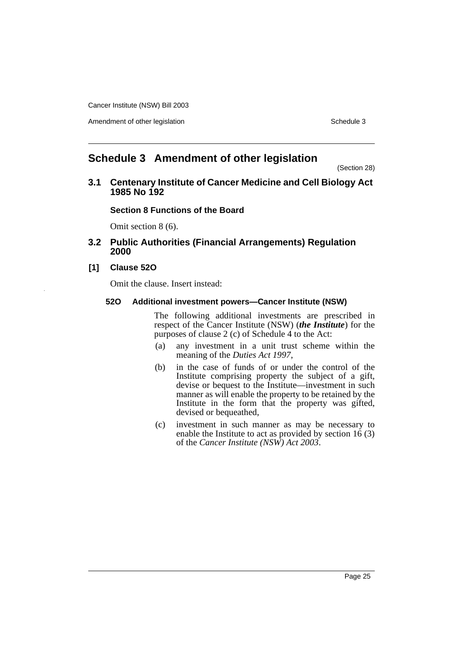Amendment of other legislation Schedule 3

# <span id="page-26-0"></span>**Schedule 3 Amendment of other legislation**

(Section 28)

**3.1 Centenary Institute of Cancer Medicine and Cell Biology Act 1985 No 192** 

#### **Section 8 Functions of the Board**

Omit section 8 (6).

#### **3.2 Public Authorities (Financial Arrangements) Regulation 2000**

#### **[1] Clause 52O**

Omit the clause. Insert instead:

#### **52O Additional investment powers—Cancer Institute (NSW)**

The following additional investments are prescribed in respect of the Cancer Institute (NSW) (*the Institute*) for the purposes of clause 2 (c) of Schedule  $\overline{4}$  to the Act:

- (a) any investment in a unit trust scheme within the meaning of the *Duties Act 1997*,
- (b) in the case of funds of or under the control of the Institute comprising property the subject of a gift, devise or bequest to the Institute—investment in such manner as will enable the property to be retained by the Institute in the form that the property was gifted, devised or bequeathed,
- (c) investment in such manner as may be necessary to enable the Institute to act as provided by section 16 (3) of the *Cancer Institute (NSW) Act 2003*.